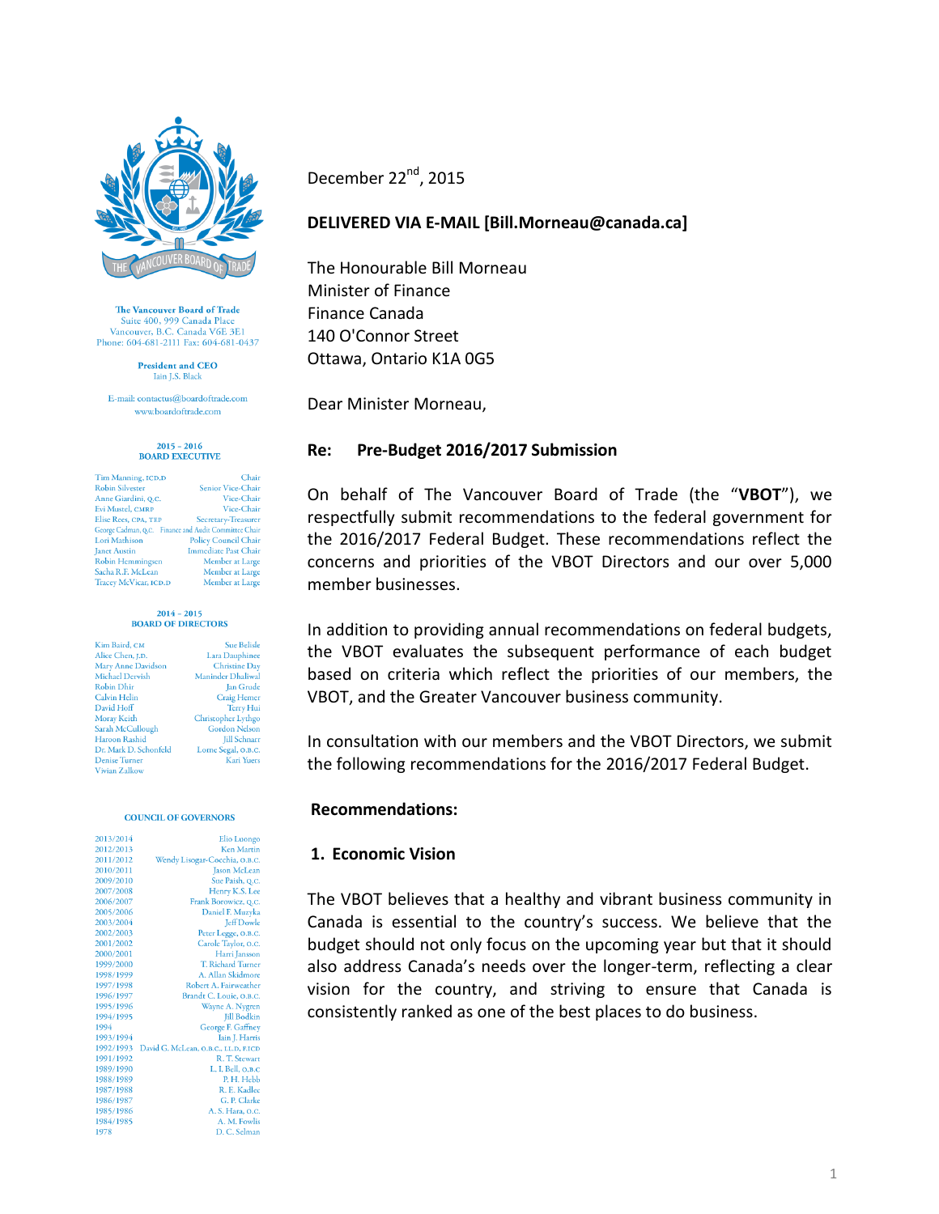

The Vancouver Board of Trade Suite 400, 999 Canada Place Vancouver, B.C. Canada V6E 3E1 Phone: 604-681-2111 Fax: 604-681-0437

> **President and CEO** Iain J.S. Black

E-mail: contactus@boardoftrade.com www.boardoftrade.com

#### $2015 - 2016$ **BOARD EXECUTIVE**

| Tim Manning, ICD.D                                   | Chair                      |
|------------------------------------------------------|----------------------------|
| <b>Robin Silvester</b>                               | Senior Vice-Chai           |
| Anne Giardini, Q.C.                                  | Vice-Chai                  |
| Evi Mustel, CMRP                                     | Vice-Chair                 |
| Elise Rees, CPA, TEP                                 | Secretary-Treasure         |
| George Cadman, Q.C. Finance and Audit Committee Chai |                            |
| Lori Mathison                                        | Policy Council Chair       |
| <b>Janet Austin</b>                                  | <b>Immediate Past Chai</b> |
| <b>Robin Hemmingsen</b>                              | Member at Large            |
| Sacha R.F. McLean                                    | Member at Large            |
| Tracey McVicar, ICD.D                                | Member at Large            |

#### $2014 - 2015$ **BOARD OF DIRECTORS**

| Kim Baird, CM          | Sue Belisk           |
|------------------------|----------------------|
| Alice Chen, J.D.       | Lara Dauphine        |
| Mary Anne Davidson     | Christine Day        |
| <b>Michael Dervish</b> | Maninder Dhaliwa     |
| <b>Robin Dhir</b>      | Jan Grude            |
| <b>Calvin Helin</b>    | <b>Craig Hemer</b>   |
| David Hoff             | Terry Hu             |
| Moray Keith            | Christopher Lythgo   |
| Sarah McCullough       | <b>Gordon Nelsor</b> |
| <b>Haroon Rashid</b>   | Jill Schnan          |
| Dr. Mark D. Schonfeld  | Lorne Segal, O.B.C   |
| <b>Denise Turner</b>   | Kari Yuer            |
| <b>Vivian Zalkow</b>   |                      |

#### **COUNCIL OF GOVERNORS**

| 2013/2014 | Elio Luongo                          |
|-----------|--------------------------------------|
| 2012/2013 | <b>Ken Martin</b>                    |
| 2011/2012 | Wendy Lisogar-Cocchia, O.B.C.        |
| 2010/2011 | Jason McLean                         |
| 2009/2010 | Sue Paish, Q.C.                      |
| 2007/2008 | Henry K.S. Lee                       |
| 2006/2007 | Frank Borowicz, Q.C.                 |
| 2005/2006 | Daniel F. Muzyka                     |
| 2003/2004 | Jeff Dowle                           |
| 2002/2003 | Peter Legge, O.B.C.                  |
| 2001/2002 | Carole Taylor, O.C.                  |
| 2000/2001 | Harri Jansson                        |
| 1999/2000 | T. Richard Turner                    |
| 1998/1999 | A. Allan Skidmore                    |
| 1997/1998 | Robert A. Fairweather                |
| 1996/1997 | Brandt C. Louie, O.B.C.              |
| 1995/1996 | Wayne A. Nygren                      |
| 1994/1995 | <b>Jill Bodkin</b>                   |
| 1994      | George F. Gaffney                    |
| 1993/1994 | Iain J. Harris                       |
| 1992/1993 | David G. McLean, O.B.C., LL.D, F.ICD |
| 1991/1992 | R. T. Stewart                        |
| 1989/1990 | L. I. Bell, O.B.C                    |
| 1988/1989 | P. H. Hebb                           |
| 1987/1988 | R. E. Kadlec                         |
| 1986/1987 | G. P. Clarke                         |
| 1985/1986 | A. S. Hara, o.c.                     |
| 1984/1985 | A. M. Fowlis                         |
| 1978      | D.C. Selman                          |

December 22<sup>nd</sup>, 2015

## **DELIVERED VIA E-MAIL [Bill.Morneau@canada.ca]**

The Honourable Bill Morneau Minister of Finance Finance Canada 140 O'Connor Street Ottawa, Ontario K1A 0G5

Dear Minister Morneau,

### **Re: Pre-Budget 2016/2017 Submission**

On behalf of The Vancouver Board of Trade (the "**VBOT**"), we respectfully submit recommendations to the federal government for the 2016/2017 Federal Budget. These recommendations reflect the concerns and priorities of the VBOT Directors and our over 5,000 member businesses.

In addition to providing annual recommendations on federal budgets, the VBOT evaluates the subsequent performance of each budget based on criteria which reflect the priorities of our members, the VBOT, and the Greater Vancouver business community.

In consultation with our members and the VBOT Directors, we submit the following recommendations for the 2016/2017 Federal Budget.

#### **Recommendations:**

### **1. Economic Vision**

The VBOT believes that a healthy and vibrant business community in Canada is essential to the country's success. We believe that the budget should not only focus on the upcoming year but that it should also address Canada's needs over the longer-term, reflecting a clear vision for the country, and striving to ensure that Canada is consistently ranked as one of the best places to do business.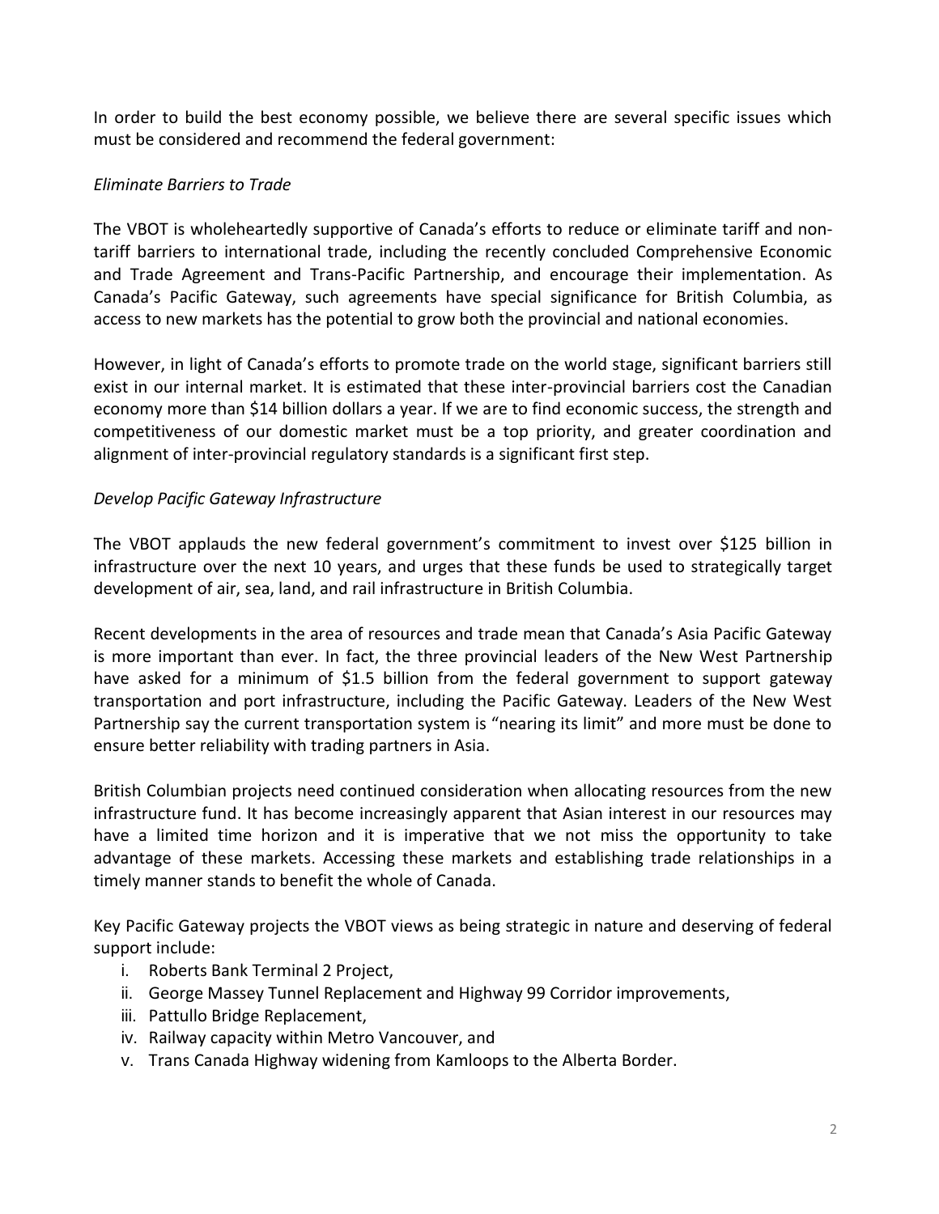In order to build the best economy possible, we believe there are several specific issues which must be considered and recommend the federal government:

# *Eliminate Barriers to Trade*

The VBOT is wholeheartedly supportive of Canada's efforts to reduce or eliminate tariff and nontariff barriers to international trade, including the recently concluded Comprehensive Economic and Trade Agreement and Trans-Pacific Partnership, and encourage their implementation. As Canada's Pacific Gateway, such agreements have special significance for British Columbia, as access to new markets has the potential to grow both the provincial and national economies.

However, in light of Canada's efforts to promote trade on the world stage, significant barriers still exist in our internal market. It is estimated that these inter-provincial barriers cost the Canadian economy more than \$14 billion dollars a year. If we are to find economic success, the strength and competitiveness of our domestic market must be a top priority, and greater coordination and alignment of inter-provincial regulatory standards is a significant first step.

## *Develop Pacific Gateway Infrastructure*

The VBOT applauds the new federal government's commitment to invest over \$125 billion in infrastructure over the next 10 years, and urges that these funds be used to strategically target development of air, sea, land, and rail infrastructure in British Columbia.

Recent developments in the area of resources and trade mean that Canada's Asia Pacific Gateway is more important than ever. In fact, the three provincial leaders of the New West Partnership have asked for a minimum of \$1.5 billion from the federal government to support gateway transportation and port infrastructure, including the Pacific Gateway. Leaders of the New West Partnership say the current transportation system is "nearing its limit" and more must be done to ensure better reliability with trading partners in Asia.

British Columbian projects need continued consideration when allocating resources from the new infrastructure fund. It has become increasingly apparent that Asian interest in our resources may have a limited time horizon and it is imperative that we not miss the opportunity to take advantage of these markets. Accessing these markets and establishing trade relationships in a timely manner stands to benefit the whole of Canada.

Key Pacific Gateway projects the VBOT views as being strategic in nature and deserving of federal support include:

- i. Roberts Bank Terminal 2 Project,
- ii. George Massey Tunnel Replacement and Highway 99 Corridor improvements,
- iii. Pattullo Bridge Replacement,
- iv. Railway capacity within Metro Vancouver, and
- v. Trans Canada Highway widening from Kamloops to the Alberta Border.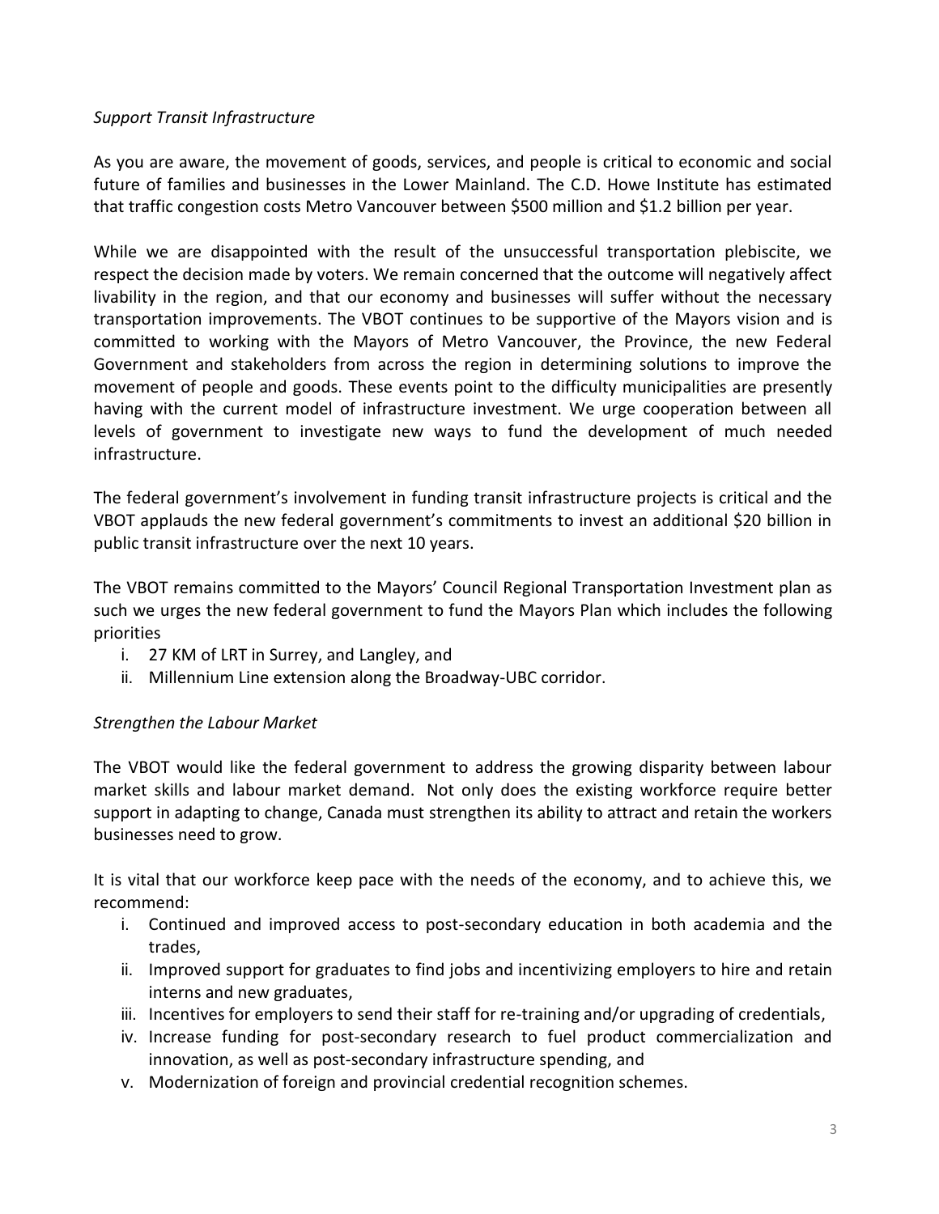# *Support Transit Infrastructure*

As you are aware, the movement of goods, services, and people is critical to economic and social future of families and businesses in the Lower Mainland. The C.D. Howe Institute has estimated that traffic congestion costs Metro Vancouver between \$500 million and \$1.2 billion per year.

While we are disappointed with the result of the unsuccessful transportation plebiscite, we respect the decision made by voters. We remain concerned that the outcome will negatively affect livability in the region, and that our economy and businesses will suffer without the necessary transportation improvements. The VBOT continues to be supportive of the Mayors vision and is committed to working with the Mayors of Metro Vancouver, the Province, the new Federal Government and stakeholders from across the region in determining solutions to improve the movement of people and goods. These events point to the difficulty municipalities are presently having with the current model of infrastructure investment. We urge cooperation between all levels of government to investigate new ways to fund the development of much needed infrastructure.

The federal government's involvement in funding transit infrastructure projects is critical and the VBOT applauds the new federal government's commitments to invest an additional \$20 billion in public transit infrastructure over the next 10 years.

The VBOT remains committed to the Mayors' Council Regional Transportation Investment plan as such we urges the new federal government to fund the Mayors Plan which includes the following priorities

- i. 27 KM of LRT in Surrey, and Langley, and
- ii. Millennium Line extension along the Broadway-UBC corridor.

# *Strengthen the Labour Market*

The VBOT would like the federal government to address the growing disparity between labour market skills and labour market demand. Not only does the existing workforce require better support in adapting to change, Canada must strengthen its ability to attract and retain the workers businesses need to grow.

It is vital that our workforce keep pace with the needs of the economy, and to achieve this, we recommend:

- i. Continued and improved access to post-secondary education in both academia and the trades,
- ii. Improved support for graduates to find jobs and incentivizing employers to hire and retain interns and new graduates,
- iii. Incentives for employers to send their staff for re-training and/or upgrading of credentials,
- iv. Increase funding for post-secondary research to fuel product commercialization and innovation, as well as post-secondary infrastructure spending, and
- v. Modernization of foreign and provincial credential recognition schemes.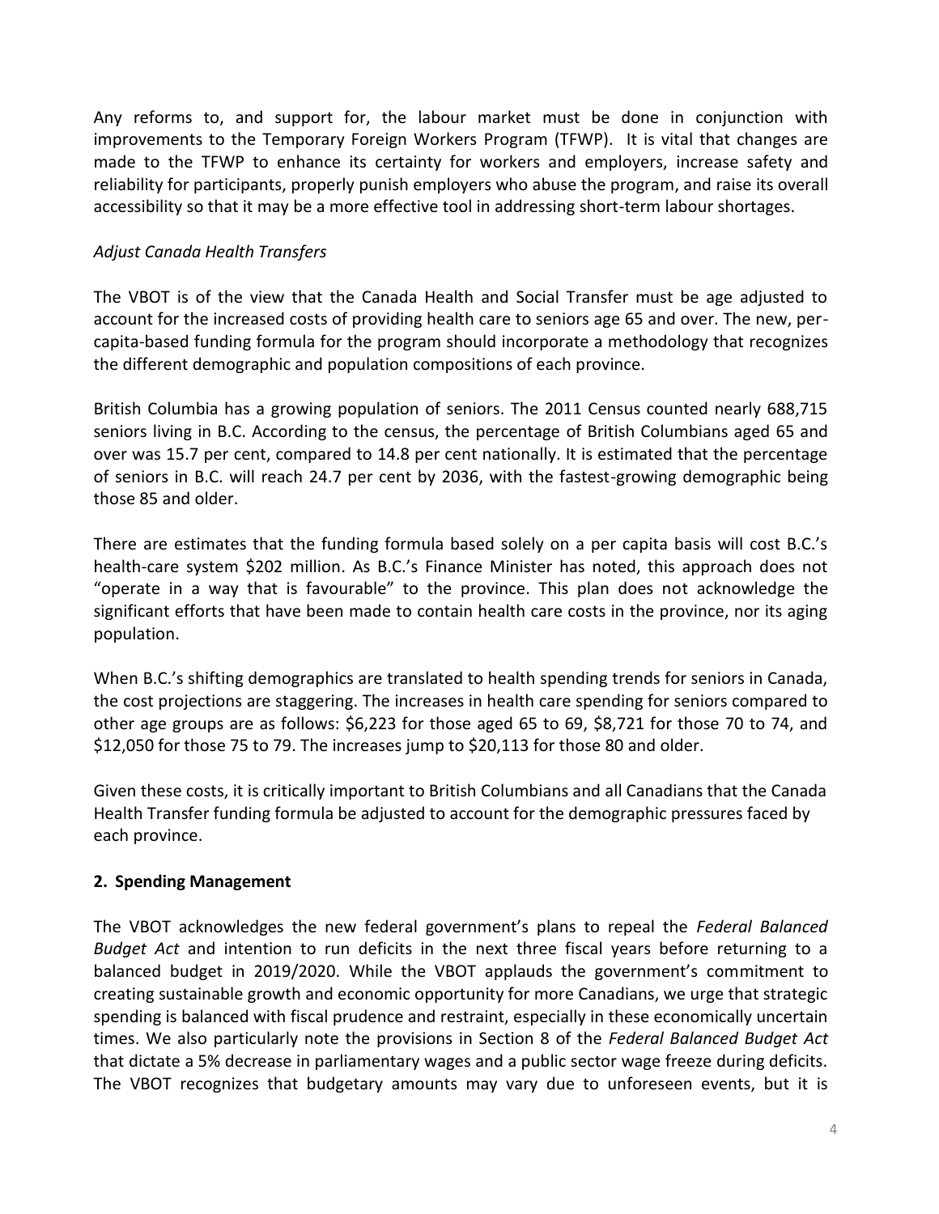Any reforms to, and support for, the labour market must be done in conjunction with improvements to the Temporary Foreign Workers Program (TFWP). It is vital that changes are made to the TFWP to enhance its certainty for workers and employers, increase safety and reliability for participants, properly punish employers who abuse the program, and raise its overall accessibility so that it may be a more effective tool in addressing short-term labour shortages.

# *Adjust Canada Health Transfers*

The VBOT is of the view that the Canada Health and Social Transfer must be age adjusted to account for the increased costs of providing health care to seniors age 65 and over. The new, percapita-based funding formula for the program should incorporate a methodology that recognizes the different demographic and population compositions of each province.

British Columbia has a growing population of seniors. The 2011 Census counted nearly 688,715 seniors living in B.C. According to the census, the percentage of British Columbians aged 65 and over was 15.7 per cent, compared to 14.8 per cent nationally. It is estimated that the percentage of seniors in B.C. will reach 24.7 per cent by 2036, with the fastest-growing demographic being those 85 and older.

There are estimates that the funding formula based solely on a per capita basis will cost B.C.'s health-care system \$202 million. As B.C.'s Finance Minister has noted, this approach does not "operate in a way that is favourable" to the province. This plan does not acknowledge the significant efforts that have been made to contain health care costs in the province, nor its aging population.

When B.C.'s shifting demographics are translated to health spending trends for seniors in Canada, the cost projections are staggering. The increases in health care spending for seniors compared to other age groups are as follows: \$6,223 for those aged 65 to 69, \$8,721 for those 70 to 74, and \$12,050 for those 75 to 79. The increases jump to \$20,113 for those 80 and older.

Given these costs, it is critically important to British Columbians and all Canadians that the Canada Health Transfer funding formula be adjusted to account for the demographic pressures faced by each province.

### **2. Spending Management**

The VBOT acknowledges the new federal government's plans to repeal the *Federal Balanced Budget Act* and intention to run deficits in the next three fiscal years before returning to a balanced budget in 2019/2020. While the VBOT applauds the government's commitment to creating sustainable growth and economic opportunity for more Canadians, we urge that strategic spending is balanced with fiscal prudence and restraint, especially in these economically uncertain times. We also particularly note the provisions in Section 8 of the *Federal Balanced Budget Act* that dictate a 5% decrease in parliamentary wages and a public sector wage freeze during deficits. The VBOT recognizes that budgetary amounts may vary due to unforeseen events, but it is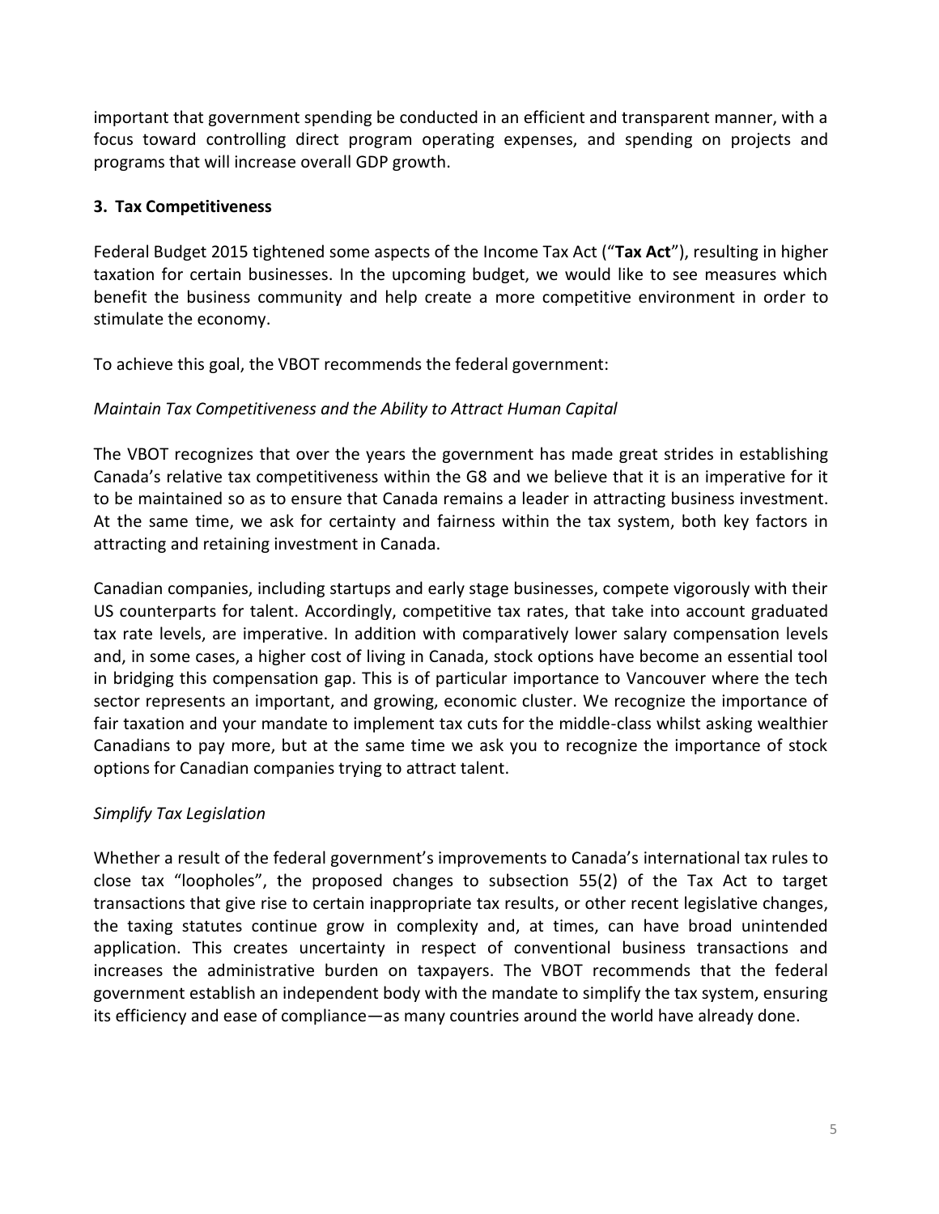important that government spending be conducted in an efficient and transparent manner, with a focus toward controlling direct program operating expenses, and spending on projects and programs that will increase overall GDP growth.

## **3. Tax Competitiveness**

Federal Budget 2015 tightened some aspects of the Income Tax Act ("**Tax Act**"), resulting in higher taxation for certain businesses. In the upcoming budget, we would like to see measures which benefit the business community and help create a more competitive environment in order to stimulate the economy.

To achieve this goal, the VBOT recommends the federal government:

# *Maintain Tax Competitiveness and the Ability to Attract Human Capital*

The VBOT recognizes that over the years the government has made great strides in establishing Canada's relative tax competitiveness within the G8 and we believe that it is an imperative for it to be maintained so as to ensure that Canada remains a leader in attracting business investment. At the same time, we ask for certainty and fairness within the tax system, both key factors in attracting and retaining investment in Canada.

Canadian companies, including startups and early stage businesses, compete vigorously with their US counterparts for talent. Accordingly, competitive tax rates, that take into account graduated tax rate levels, are imperative. In addition with comparatively lower salary compensation levels and, in some cases, a higher cost of living in Canada, stock options have become an essential tool in bridging this compensation gap. This is of particular importance to Vancouver where the tech sector represents an important, and growing, economic cluster. We recognize the importance of fair taxation and your mandate to implement tax cuts for the middle-class whilst asking wealthier Canadians to pay more, but at the same time we ask you to recognize the importance of stock options for Canadian companies trying to attract talent.

# *Simplify Tax Legislation*

Whether a result of the federal government's improvements to Canada's international tax rules to close tax "loopholes", the proposed changes to subsection 55(2) of the Tax Act to target transactions that give rise to certain inappropriate tax results, or other recent legislative changes, the taxing statutes continue grow in complexity and, at times, can have broad unintended application. This creates uncertainty in respect of conventional business transactions and increases the administrative burden on taxpayers. The VBOT recommends that the federal government establish an independent body with the mandate to simplify the tax system, ensuring its efficiency and ease of compliance—as many countries around the world have already done.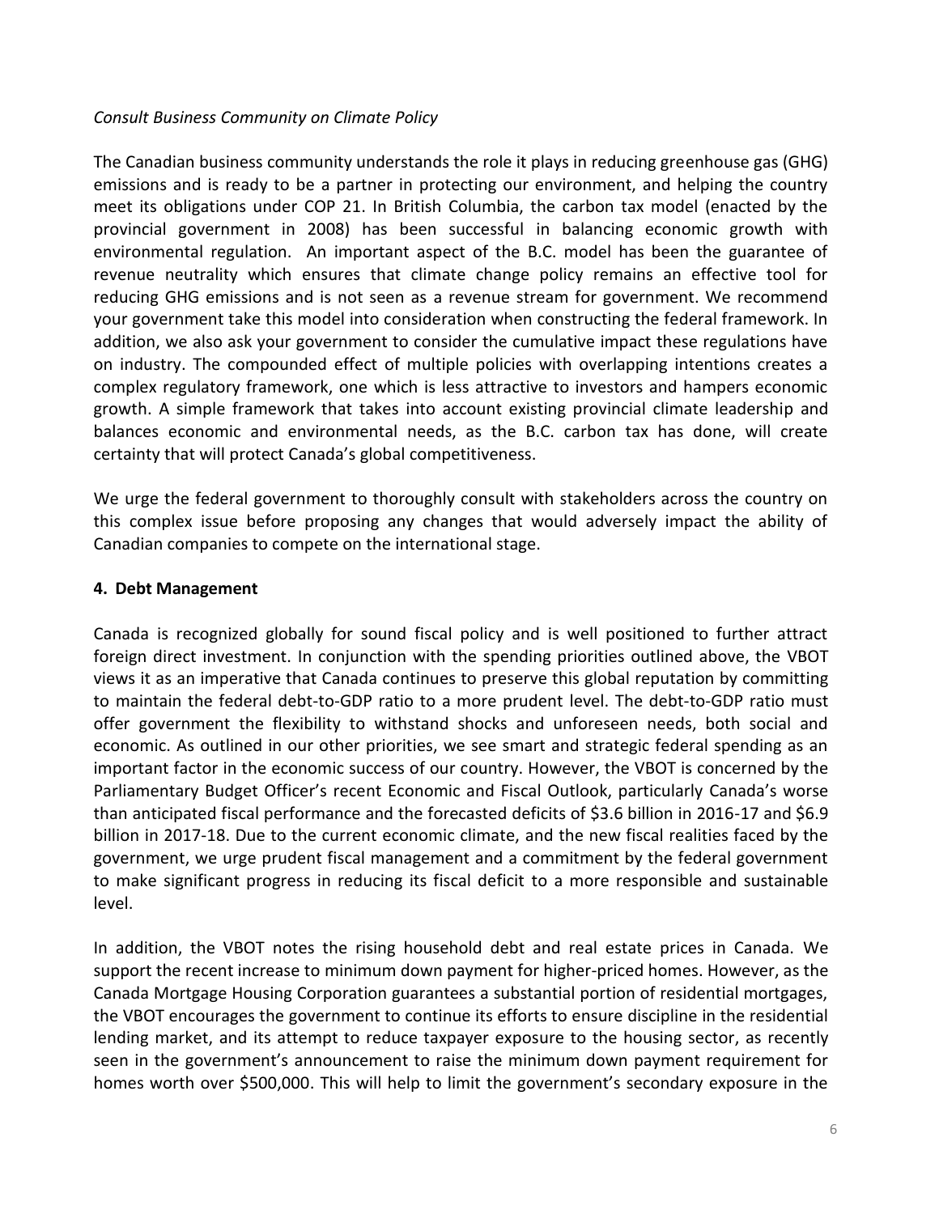## *Consult Business Community on Climate Policy*

The Canadian business community understands the role it plays in reducing greenhouse gas (GHG) emissions and is ready to be a partner in protecting our environment, and helping the country meet its obligations under COP 21. In British Columbia, the carbon tax model (enacted by the provincial government in 2008) has been successful in balancing economic growth with environmental regulation. An important aspect of the B.C. model has been the guarantee of revenue neutrality which ensures that climate change policy remains an effective tool for reducing GHG emissions and is not seen as a revenue stream for government. We recommend your government take this model into consideration when constructing the federal framework. In addition, we also ask your government to consider the cumulative impact these regulations have on industry. The compounded effect of multiple policies with overlapping intentions creates a complex regulatory framework, one which is less attractive to investors and hampers economic growth. A simple framework that takes into account existing provincial climate leadership and balances economic and environmental needs, as the B.C. carbon tax has done, will create certainty that will protect Canada's global competitiveness.

We urge the federal government to thoroughly consult with stakeholders across the country on this complex issue before proposing any changes that would adversely impact the ability of Canadian companies to compete on the international stage.

### **4. Debt Management**

Canada is recognized globally for sound fiscal policy and is well positioned to further attract foreign direct investment. In conjunction with the spending priorities outlined above, the VBOT views it as an imperative that Canada continues to preserve this global reputation by committing to maintain the federal debt-to-GDP ratio to a more prudent level. The debt-to-GDP ratio must offer government the flexibility to withstand shocks and unforeseen needs, both social and economic. As outlined in our other priorities, we see smart and strategic federal spending as an important factor in the economic success of our country. However, the VBOT is concerned by the Parliamentary Budget Officer's recent Economic and Fiscal Outlook, particularly Canada's worse than anticipated fiscal performance and the forecasted deficits of \$3.6 billion in 2016-17 and \$6.9 billion in 2017-18. Due to the current economic climate, and the new fiscal realities faced by the government, we urge prudent fiscal management and a commitment by the federal government to make significant progress in reducing its fiscal deficit to a more responsible and sustainable level.

In addition, the VBOT notes the rising household debt and real estate prices in Canada. We support the recent increase to minimum down payment for higher-priced homes. However, as the Canada Mortgage Housing Corporation guarantees a substantial portion of residential mortgages, the VBOT encourages the government to continue its efforts to ensure discipline in the residential lending market, and its attempt to reduce taxpayer exposure to the housing sector, as recently seen in the government's announcement to raise the minimum down payment requirement for homes worth over \$500,000. This will help to limit the government's secondary exposure in the